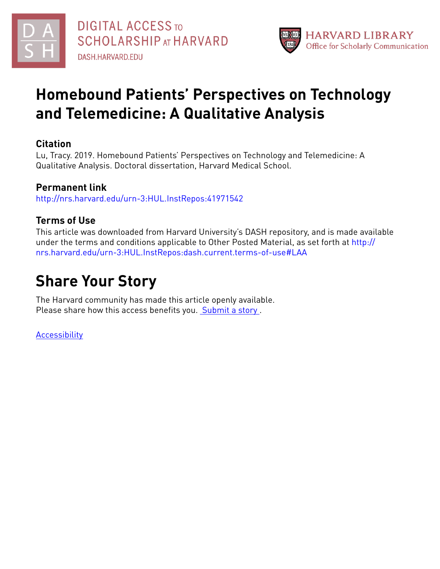



# **Homebound Patients' Perspectives on Technology and Telemedicine: A Qualitative Analysis**

# **Citation**

Lu, Tracy. 2019. Homebound Patients' Perspectives on Technology and Telemedicine: A Qualitative Analysis. Doctoral dissertation, Harvard Medical School.

# **Permanent link**

<http://nrs.harvard.edu/urn-3:HUL.InstRepos:41971542>

# **Terms of Use**

This article was downloaded from Harvard University's DASH repository, and is made available under the terms and conditions applicable to Other Posted Material, as set forth at [http://](http://nrs.harvard.edu/urn-3:HUL.InstRepos:dash.current.terms-of-use#LAA) [nrs.harvard.edu/urn-3:HUL.InstRepos:dash.current.terms-of-use#LAA](http://nrs.harvard.edu/urn-3:HUL.InstRepos:dash.current.terms-of-use#LAA)

# **Share Your Story**

The Harvard community has made this article openly available. Please share how this access benefits you. [Submit](http://osc.hul.harvard.edu/dash/open-access-feedback?handle=&title=Homebound%20Patients%E2%80%99%20Perspectives%20on%20Technology%20and%20Telemedicine:%20A%20Qualitative%20Analysis&community=1/4454685&collection=1/11407446&owningCollection1/11407446&harvardAuthors=5fed6bb41300dd0c5813039e71016374&departmentScholarly%20Project) a story .

**[Accessibility](https://dash.harvard.edu/pages/accessibility)**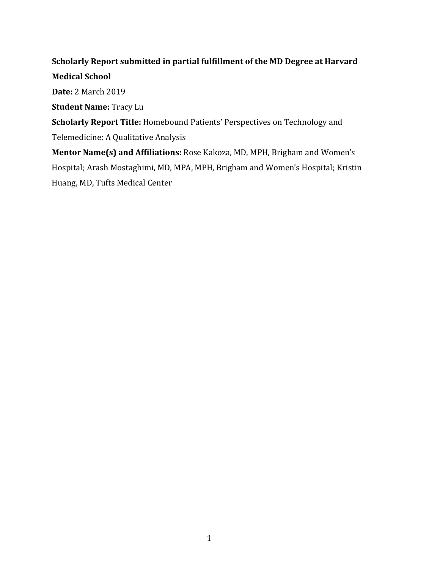## **Scholarly Report submitted in partial fulfillment of the MD Degree at Harvard**

**Medical School**

**Date:** 2 March 2019

**Student Name: Tracy Lu** 

**Scholarly Report Title:** Homebound Patients' Perspectives on Technology and Telemedicine: A Qualitative Analysis

**Mentor Name(s) and Affiliations:** Rose Kakoza, MD, MPH, Brigham and Women's Hospital; Arash Mostaghimi, MD, MPA, MPH, Brigham and Women's Hospital; Kristin Huang, MD, Tufts Medical Center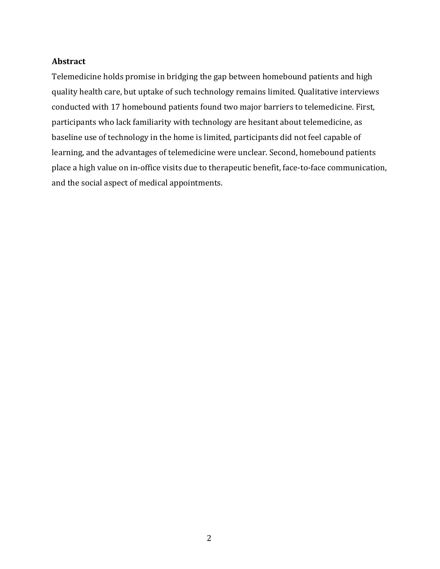### **Abstract**

Telemedicine holds promise in bridging the gap between homebound patients and high quality health care, but uptake of such technology remains limited. Qualitative interviews conducted with 17 homebound patients found two major barriers to telemedicine. First, participants who lack familiarity with technology are hesitant about telemedicine, as baseline use of technology in the home is limited, participants did not feel capable of learning, and the advantages of telemedicine were unclear. Second, homebound patients place a high value on in-office visits due to therapeutic benefit, face-to-face communication, and the social aspect of medical appointments.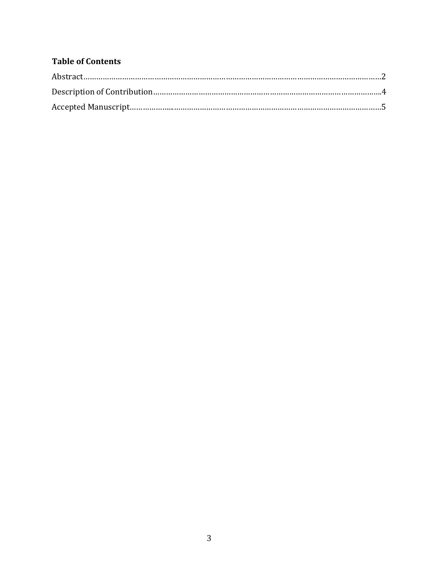# **Table of Contents**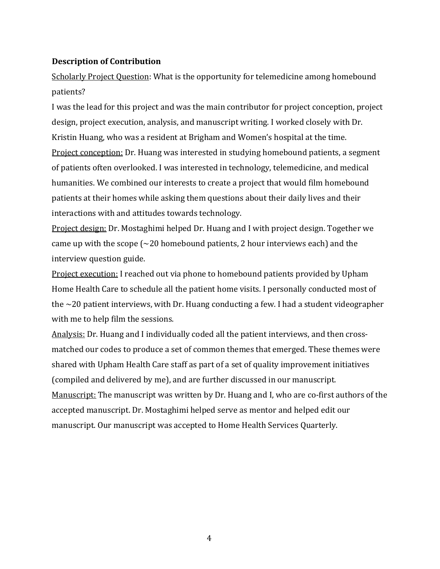## **Description of Contribution**

Scholarly Project Question: What is the opportunity for telemedicine among homebound patients?

I was the lead for this project and was the main contributor for project conception, project design, project execution, analysis, and manuscript writing. I worked closely with Dr. Kristin Huang, who was a resident at Brigham and Women's hospital at the time. Project conception: Dr. Huang was interested in studying homebound patients, a segment of patients often overlooked. I was interested in technology, telemedicine, and medical humanities. We combined our interests to create a project that would film homebound patients at their homes while asking them questions about their daily lives and their interactions with and attitudes towards technology.

Project design: Dr. Mostaghimi helped Dr. Huang and I with project design. Together we came up with the scope  $\left(\sim\!20\right)$  homebound patients, 2 hour interviews each) and the interview question guide.

Project execution: I reached out via phone to homebound patients provided by Upham Home Health Care to schedule all the patient home visits. I personally conducted most of the  $\sim$ 20 patient interviews, with Dr. Huang conducting a few. I had a student videographer with me to help film the sessions.

Analysis: Dr. Huang and I individually coded all the patient interviews, and then crossmatched our codes to produce a set of common themes that emerged. These themes were shared with Upham Health Care staff as part of a set of quality improvement initiatives (compiled and delivered by me), and are further discussed in our manuscript. Manuscript: The manuscript was written by Dr. Huang and I, who are co-first authors of the accepted manuscript. Dr. Mostaghimi helped serve as mentor and helped edit our manuscript. Our manuscript was accepted to Home Health Services Quarterly.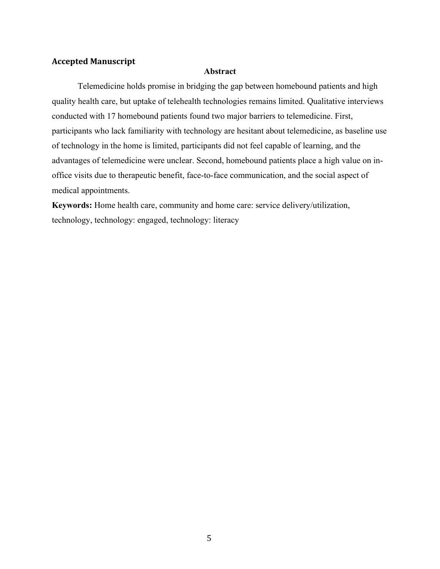### **Accepted Manuscript**

#### **Abstract**

Telemedicine holds promise in bridging the gap between homebound patients and high quality health care, but uptake of telehealth technologies remains limited. Qualitative interviews conducted with 17 homebound patients found two major barriers to telemedicine. First, participants who lack familiarity with technology are hesitant about telemedicine, as baseline use of technology in the home is limited, participants did not feel capable of learning, and the advantages of telemedicine were unclear. Second, homebound patients place a high value on inoffice visits due to therapeutic benefit, face-to-face communication, and the social aspect of medical appointments.

**Keywords:** Home health care, community and home care: service delivery/utilization, technology, technology: engaged, technology: literacy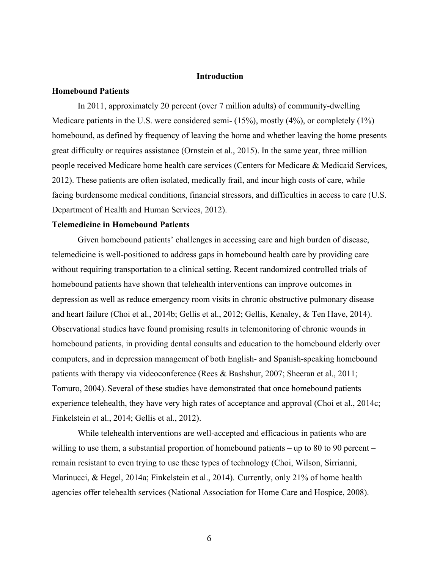#### **Introduction**

#### **Homebound Patients**

In 2011, approximately 20 percent (over 7 million adults) of community-dwelling Medicare patients in the U.S. were considered semi- (15%), mostly (4%), or completely (1%) homebound, as defined by frequency of leaving the home and whether leaving the home presents great difficulty or requires assistance (Ornstein et al., 2015). In the same year, three million people received Medicare home health care services (Centers for Medicare & Medicaid Services, 2012). These patients are often isolated, medically frail, and incur high costs of care, while facing burdensome medical conditions, financial stressors, and difficulties in access to care (U.S. Department of Health and Human Services, 2012).

#### **Telemedicine in Homebound Patients**

Given homebound patients' challenges in accessing care and high burden of disease, telemedicine is well-positioned to address gaps in homebound health care by providing care without requiring transportation to a clinical setting. Recent randomized controlled trials of homebound patients have shown that telehealth interventions can improve outcomes in depression as well as reduce emergency room visits in chronic obstructive pulmonary disease and heart failure (Choi et al., 2014b; Gellis et al., 2012; Gellis, Kenaley, & Ten Have, 2014). Observational studies have found promising results in telemonitoring of chronic wounds in homebound patients, in providing dental consults and education to the homebound elderly over computers, and in depression management of both English- and Spanish-speaking homebound patients with therapy via videoconference (Rees & Bashshur, 2007; Sheeran et al., 2011; Tomuro, 2004). Several of these studies have demonstrated that once homebound patients experience telehealth, they have very high rates of acceptance and approval (Choi et al., 2014c; Finkelstein et al., 2014; Gellis et al., 2012).

While telehealth interventions are well-accepted and efficacious in patients who are willing to use them, a substantial proportion of homebound patients – up to 80 to 90 percent – remain resistant to even trying to use these types of technology (Choi, Wilson, Sirrianni, Marinucci, & Hegel, 2014a; Finkelstein et al., 2014). Currently, only 21% of home health agencies offer telehealth services (National Association for Home Care and Hospice, 2008).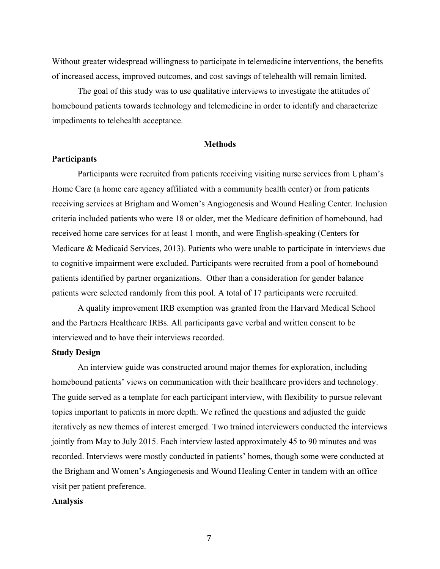Without greater widespread willingness to participate in telemedicine interventions, the benefits of increased access, improved outcomes, and cost savings of telehealth will remain limited.

The goal of this study was to use qualitative interviews to investigate the attitudes of homebound patients towards technology and telemedicine in order to identify and characterize impediments to telehealth acceptance.

#### **Methods**

#### **Participants**

Participants were recruited from patients receiving visiting nurse services from Upham's Home Care (a home care agency affiliated with a community health center) or from patients receiving services at Brigham and Women's Angiogenesis and Wound Healing Center. Inclusion criteria included patients who were 18 or older, met the Medicare definition of homebound, had received home care services for at least 1 month, and were English-speaking (Centers for Medicare & Medicaid Services, 2013). Patients who were unable to participate in interviews due to cognitive impairment were excluded. Participants were recruited from a pool of homebound patients identified by partner organizations. Other than a consideration for gender balance patients were selected randomly from this pool. A total of 17 participants were recruited.

A quality improvement IRB exemption was granted from the Harvard Medical School and the Partners Healthcare IRBs. All participants gave verbal and written consent to be interviewed and to have their interviews recorded.

#### **Study Design**

An interview guide was constructed around major themes for exploration, including homebound patients' views on communication with their healthcare providers and technology. The guide served as a template for each participant interview, with flexibility to pursue relevant topics important to patients in more depth. We refined the questions and adjusted the guide iteratively as new themes of interest emerged. Two trained interviewers conducted the interviews jointly from May to July 2015. Each interview lasted approximately 45 to 90 minutes and was recorded. Interviews were mostly conducted in patients' homes, though some were conducted at the Brigham and Women's Angiogenesis and Wound Healing Center in tandem with an office visit per patient preference.

#### **Analysis**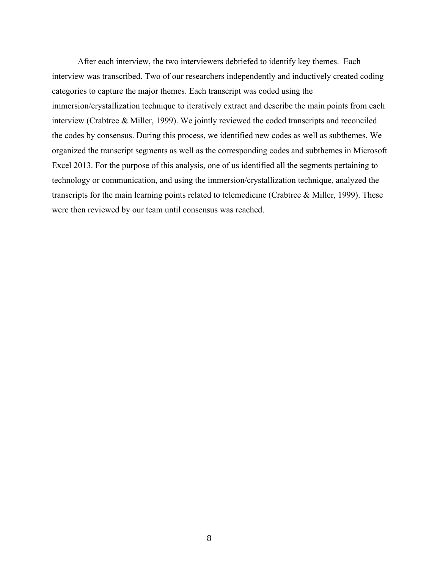After each interview, the two interviewers debriefed to identify key themes. Each interview was transcribed. Two of our researchers independently and inductively created coding categories to capture the major themes. Each transcript was coded using the immersion/crystallization technique to iteratively extract and describe the main points from each interview (Crabtree & Miller, 1999). We jointly reviewed the coded transcripts and reconciled the codes by consensus. During this process, we identified new codes as well as subthemes. We organized the transcript segments as well as the corresponding codes and subthemes in Microsoft Excel 2013. For the purpose of this analysis, one of us identified all the segments pertaining to technology or communication, and using the immersion/crystallization technique, analyzed the transcripts for the main learning points related to telemedicine (Crabtree & Miller, 1999). These were then reviewed by our team until consensus was reached.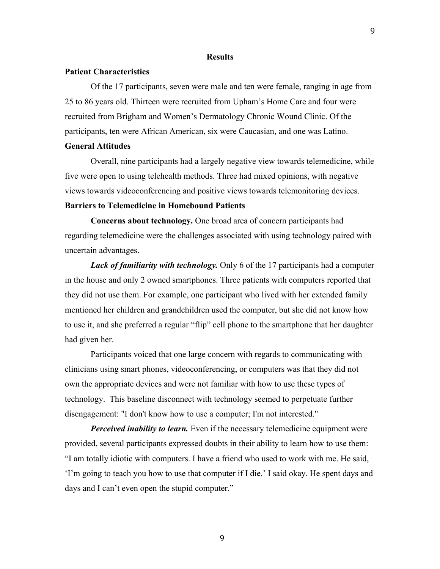#### **Results**

#### **Patient Characteristics**

Of the 17 participants, seven were male and ten were female, ranging in age from 25 to 86 years old. Thirteen were recruited from Upham's Home Care and four were recruited from Brigham and Women's Dermatology Chronic Wound Clinic. Of the participants, ten were African American, six were Caucasian, and one was Latino.

#### **General Attitudes**

Overall, nine participants had a largely negative view towards telemedicine, while five were open to using telehealth methods. Three had mixed opinions, with negative views towards videoconferencing and positive views towards telemonitoring devices.

#### **Barriers to Telemedicine in Homebound Patients**

**Concerns about technology.** One broad area of concern participants had regarding telemedicine were the challenges associated with using technology paired with uncertain advantages.

*Lack of familiarity with technology.* Only 6 of the 17 participants had a computer in the house and only 2 owned smartphones. Three patients with computers reported that they did not use them. For example, one participant who lived with her extended family mentioned her children and grandchildren used the computer, but she did not know how to use it, and she preferred a regular "flip" cell phone to the smartphone that her daughter had given her.

Participants voiced that one large concern with regards to communicating with clinicians using smart phones, videoconferencing, or computers was that they did not own the appropriate devices and were not familiar with how to use these types of technology. This baseline disconnect with technology seemed to perpetuate further disengagement: "I don't know how to use a computer; I'm not interested."

*Perceived inability to learn.* Even if the necessary telemedicine equipment were provided, several participants expressed doubts in their ability to learn how to use them: "I am totally idiotic with computers. I have a friend who used to work with me. He said, 'I'm going to teach you how to use that computer if I die.' I said okay. He spent days and days and I can't even open the stupid computer."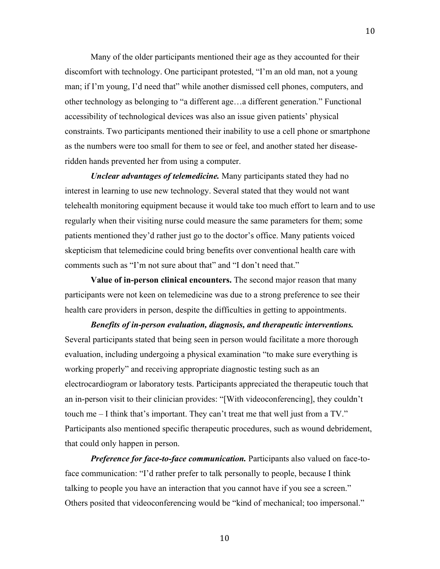Many of the older participants mentioned their age as they accounted for their discomfort with technology. One participant protested, "I'm an old man, not a young man; if I'm young, I'd need that" while another dismissed cell phones, computers, and other technology as belonging to "a different age…a different generation." Functional accessibility of technological devices was also an issue given patients' physical constraints. Two participants mentioned their inability to use a cell phone or smartphone as the numbers were too small for them to see or feel, and another stated her diseaseridden hands prevented her from using a computer.

*Unclear advantages of telemedicine.* Many participants stated they had no interest in learning to use new technology. Several stated that they would not want telehealth monitoring equipment because it would take too much effort to learn and to use regularly when their visiting nurse could measure the same parameters for them; some patients mentioned they'd rather just go to the doctor's office. Many patients voiced skepticism that telemedicine could bring benefits over conventional health care with comments such as "I'm not sure about that" and "I don't need that."

**Value of in-person clinical encounters.** The second major reason that many participants were not keen on telemedicine was due to a strong preference to see their health care providers in person, despite the difficulties in getting to appointments.

*Benefits of in-person evaluation, diagnosis, and therapeutic interventions.*  Several participants stated that being seen in person would facilitate a more thorough evaluation, including undergoing a physical examination "to make sure everything is working properly" and receiving appropriate diagnostic testing such as an electrocardiogram or laboratory tests. Participants appreciated the therapeutic touch that an in-person visit to their clinician provides: "[With videoconferencing], they couldn't touch me – I think that's important. They can't treat me that well just from a TV." Participants also mentioned specific therapeutic procedures, such as wound debridement, that could only happen in person.

*Preference for face-to-face communication.* Participants also valued on face-toface communication: "I'd rather prefer to talk personally to people, because I think talking to people you have an interaction that you cannot have if you see a screen." Others posited that videoconferencing would be "kind of mechanical; too impersonal."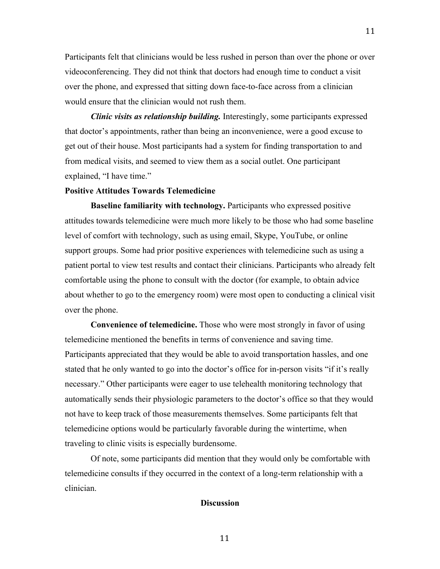Participants felt that clinicians would be less rushed in person than over the phone or over videoconferencing. They did not think that doctors had enough time to conduct a visit over the phone, and expressed that sitting down face-to-face across from a clinician would ensure that the clinician would not rush them.

11

*Clinic visits as relationship building.* Interestingly, some participants expressed that doctor's appointments, rather than being an inconvenience, were a good excuse to get out of their house. Most participants had a system for finding transportation to and from medical visits, and seemed to view them as a social outlet. One participant explained, "I have time."

#### **Positive Attitudes Towards Telemedicine**

**Baseline familiarity with technology.** Participants who expressed positive attitudes towards telemedicine were much more likely to be those who had some baseline level of comfort with technology, such as using email, Skype, YouTube, or online support groups. Some had prior positive experiences with telemedicine such as using a patient portal to view test results and contact their clinicians. Participants who already felt comfortable using the phone to consult with the doctor (for example, to obtain advice about whether to go to the emergency room) were most open to conducting a clinical visit over the phone.

**Convenience of telemedicine.** Those who were most strongly in favor of using telemedicine mentioned the benefits in terms of convenience and saving time. Participants appreciated that they would be able to avoid transportation hassles, and one stated that he only wanted to go into the doctor's office for in-person visits "if it's really necessary." Other participants were eager to use telehealth monitoring technology that automatically sends their physiologic parameters to the doctor's office so that they would not have to keep track of those measurements themselves. Some participants felt that telemedicine options would be particularly favorable during the wintertime, when traveling to clinic visits is especially burdensome.

Of note, some participants did mention that they would only be comfortable with telemedicine consults if they occurred in the context of a long-term relationship with a clinician.

#### **Discussion**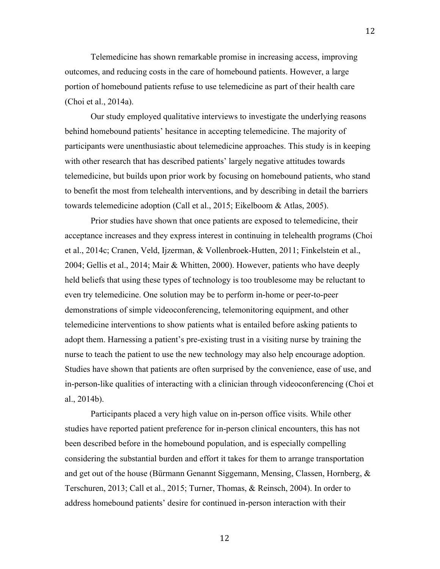Telemedicine has shown remarkable promise in increasing access, improving outcomes, and reducing costs in the care of homebound patients. However, a large portion of homebound patients refuse to use telemedicine as part of their health care (Choi et al., 2014a).

12

Our study employed qualitative interviews to investigate the underlying reasons behind homebound patients' hesitance in accepting telemedicine. The majority of participants were unenthusiastic about telemedicine approaches. This study is in keeping with other research that has described patients' largely negative attitudes towards telemedicine, but builds upon prior work by focusing on homebound patients, who stand to benefit the most from telehealth interventions, and by describing in detail the barriers towards telemedicine adoption (Call et al., 2015; Eikelboom & Atlas, 2005).

Prior studies have shown that once patients are exposed to telemedicine, their acceptance increases and they express interest in continuing in telehealth programs (Choi et al., 2014c; Cranen, Veld, Ijzerman, & Vollenbroek-Hutten, 2011; Finkelstein et al., 2004; Gellis et al., 2014; Mair & Whitten, 2000). However, patients who have deeply held beliefs that using these types of technology is too troublesome may be reluctant to even try telemedicine. One solution may be to perform in-home or peer-to-peer demonstrations of simple videoconferencing, telemonitoring equipment, and other telemedicine interventions to show patients what is entailed before asking patients to adopt them. Harnessing a patient's pre-existing trust in a visiting nurse by training the nurse to teach the patient to use the new technology may also help encourage adoption. Studies have shown that patients are often surprised by the convenience, ease of use, and in-person-like qualities of interacting with a clinician through videoconferencing (Choi et al., 2014b).

Participants placed a very high value on in-person office visits. While other studies have reported patient preference for in-person clinical encounters, this has not been described before in the homebound population, and is especially compelling considering the substantial burden and effort it takes for them to arrange transportation and get out of the house (Bürmann Genannt Siggemann, Mensing, Classen, Hornberg, & Terschuren, 2013; Call et al., 2015; Turner, Thomas, & Reinsch, 2004). In order to address homebound patients' desire for continued in-person interaction with their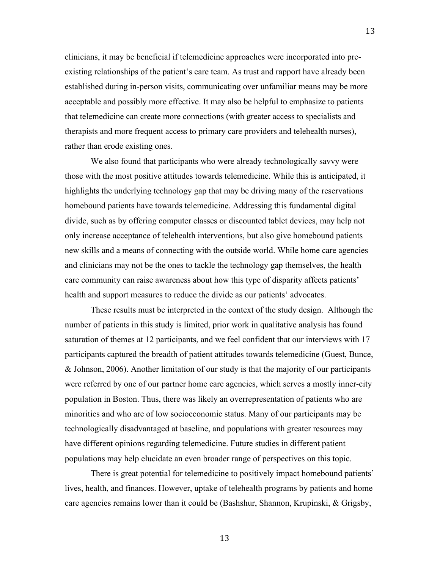clinicians, it may be beneficial if telemedicine approaches were incorporated into preexisting relationships of the patient's care team. As trust and rapport have already been established during in-person visits, communicating over unfamiliar means may be more acceptable and possibly more effective. It may also be helpful to emphasize to patients that telemedicine can create more connections (with greater access to specialists and therapists and more frequent access to primary care providers and telehealth nurses), rather than erode existing ones.

13

We also found that participants who were already technologically savvy were those with the most positive attitudes towards telemedicine. While this is anticipated, it highlights the underlying technology gap that may be driving many of the reservations homebound patients have towards telemedicine. Addressing this fundamental digital divide, such as by offering computer classes or discounted tablet devices, may help not only increase acceptance of telehealth interventions, but also give homebound patients new skills and a means of connecting with the outside world. While home care agencies and clinicians may not be the ones to tackle the technology gap themselves, the health care community can raise awareness about how this type of disparity affects patients' health and support measures to reduce the divide as our patients' advocates.

These results must be interpreted in the context of the study design. Although the number of patients in this study is limited, prior work in qualitative analysis has found saturation of themes at 12 participants, and we feel confident that our interviews with 17 participants captured the breadth of patient attitudes towards telemedicine (Guest, Bunce, & Johnson, 2006). Another limitation of our study is that the majority of our participants were referred by one of our partner home care agencies, which serves a mostly inner-city population in Boston. Thus, there was likely an overrepresentation of patients who are minorities and who are of low socioeconomic status. Many of our participants may be technologically disadvantaged at baseline, and populations with greater resources may have different opinions regarding telemedicine. Future studies in different patient populations may help elucidate an even broader range of perspectives on this topic.

There is great potential for telemedicine to positively impact homebound patients' lives, health, and finances. However, uptake of telehealth programs by patients and home care agencies remains lower than it could be (Bashshur, Shannon, Krupinski, & Grigsby,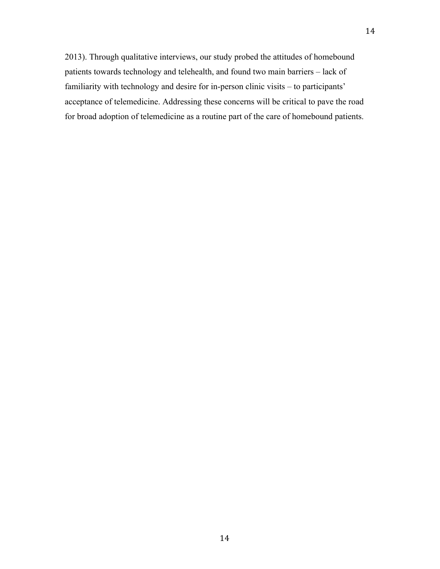2013). Through qualitative interviews, our study probed the attitudes of homebound patients towards technology and telehealth, and found two main barriers – lack of familiarity with technology and desire for in-person clinic visits – to participants' acceptance of telemedicine. Addressing these concerns will be critical to pave the road for broad adoption of telemedicine as a routine part of the care of homebound patients.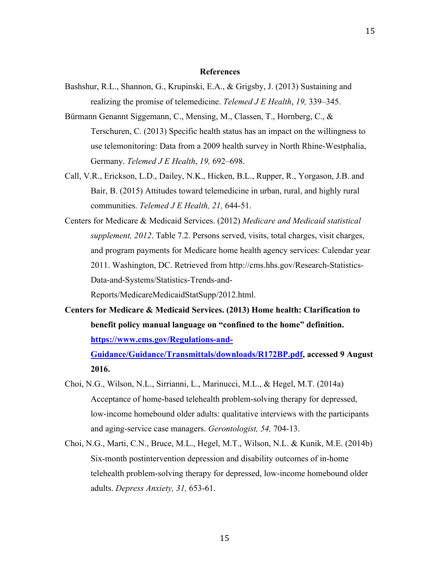#### **References**

- Bashshur, R.L., Shannon, G., Krupinski, E.A., & Grigsby, J. (2013) Sustaining and realizing the promise of telemedicine. *Telemed J E Health*, *19,* 339–345.
- Bürmann Genannt Siggemann, C., Mensing, M., Classen, T., Hornberg, C., & Terschuren, C. (2013) Specific health status has an impact on the willingness to use telemonitoring: Data from a 2009 health survey in North Rhine-Westphalia, Germany. *Telemed J E Health*, *19,* 692–698.
- Call, V.R., Erickson, L.D., Dailey, N.K., Hicken, B.L., Rupper, R., Yorgason, J.B. and Bair, B. (2015) Attitudes toward telemedicine in urban, rural, and highly rural communities. *Telemed J E Health, 21,* 644-51.
- Centers for Medicare & Medicaid Services. (2012) *Medicare and Medicaid statistical supplement, 2012*. Table 7.2. Persons served, visits, total charges, visit charges, and program payments for Medicare home health agency services: Calendar year 2011. Washington, DC. Retrieved from http://cms.hhs.gov/Research-Statistics-Data-and-Systems/Statistics-Trends-and-

Reports/MedicareMedicaidStatSupp/2012.html.

**Centers for Medicare & Medicaid Services. (2013) Home health: Clarification to benefit policy manual language on "confined to the home" definition. https://www.cms.gov/Regulations-and-**

**Guidance/Guidance/Transmittals/downloads/R172BP.pdf, accessed 9 August 2016.**

- Choi, N.G., Wilson, N.L., Sirrianni, L., Marinucci, M.L., & Hegel, M.T. (2014a) Acceptance of home-based telehealth problem-solving therapy for depressed, low-income homebound older adults: qualitative interviews with the participants and aging-service case managers. *Gerontologist, 54,* 704-13.
- Choi, N.G., Marti, C.N., Bruce, M.L., Hegel, M.T., Wilson, N.L. & Kunik, M.E. (2014b) Six-month postintervention depression and disability outcomes of in-home telehealth problem-solving therapy for depressed, low-income homebound older adults. *Depress Anxiety, 31,* 653-61.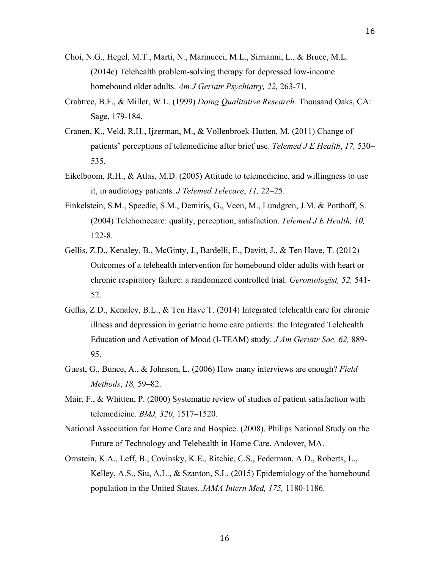- Choi, N.G., Hegel, M.T., Marti, N., Marinucci, M.L., Sirrianni, L., & Bruce, M.L. (2014c) Telehealth problem-solving therapy for depressed low-income homebound older adults. *Am J Geriatr Psychiatry, 22,* 263-71.
- Crabtree, B.F., & Miller, W.L. (1999) *Doing Qualitative Research.* Thousand Oaks, CA: Sage, 179-184.
- Cranen, K., Veld, R.H., Ijzerman, M., & Vollenbroek-Hutten, M. (2011) Change of patients' perceptions of telemedicine after brief use. *Telemed J E Health*, *17,* 530– 535.
- Eikelboom, R.H., & Atlas, M.D. (2005) Attitude to telemedicine, and willingness to use it, in audiology patients. *J Telemed Telecare*, *11,* 22–25.
- Finkelstein, S.M., Speedie, S.M., Demiris, G., Veen, M., Lundgren, J.M. & Potthoff, S. (2004) Telehomecare: quality, perception, satisfaction. *Telemed J E Health, 10,* 122-8.
- Gellis, Z.D., Kenaley, B., McGinty, J., Bardelli, E., Davitt, J., & Ten Have, T. (2012) Outcomes of a telehealth intervention for homebound older adults with heart or chronic respiratory failure: a randomized controlled trial. *Gerontologist, 52,* 541- 52.
- Gellis, Z.D., Kenaley, B.L., & Ten Have T. (2014) Integrated telehealth care for chronic illness and depression in geriatric home care patients: the Integrated Telehealth Education and Activation of Mood (I-TEAM) study. *J Am Geriatr Soc, 62,* 889- 95.
- Guest, G., Bunce, A., & Johnson, L. (2006) How many interviews are enough? *Field Methods*, *18,* 59–82.
- Mair, F., & Whitten, P. (2000) Systematic review of studies of patient satisfaction with telemedicine. *BMJ, 320,* 1517–1520.
- National Association for Home Care and Hospice. (2008). Philips National Study on the Future of Technology and Telehealth in Home Care. Andover, MA.
- Ornstein, K.A., Leff, B., Covinsky, K.E., Ritchie, C.S., Federman, A.D., Roberts, L., Kelley, A.S., Siu, A.L., & Szanton, S.L. (2015) Epidemiology of the homebound population in the United States. *JAMA Intern Med, 175,* 1180-1186.